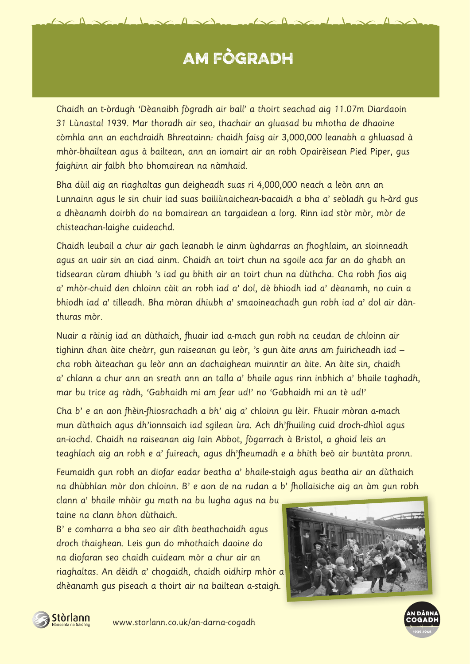## AM FÒGRADH

Chaidh an t-òrdugh 'Dèanaibh fògradh air ball' a thoirt seachad aig 11.07m Diardaoin 31 Lùnastal 1939. Mar thoradh air seo, thachair an gluasad bu mhotha de dhaoine còmhla ann an eachdraidh Bhreatainn: chaidh faisg air 3,000,000 leanabh a ghluasad à mhòr-bhailtean agus à bailtean, ann an iomairt air an robh Opairèisean Pied Piper, gus faighinn air falbh bho bhomairean na nàmhaid.

Bha dùil aig an riaghaltas gun deigheadh suas ri 4,000,000 neach a leòn ann an Lunnainn agus le sin chuir iad suas bailiùnaichean-bacaidh a bha a' seòladh gu h-àrd gus a dhèanamh doirbh do na bomairean an targaidean a lorg. Rinn iad stòr mòr, mòr de chisteachan-laighe cuideachd.

Chaidh leubail a chur air gach leanabh le ainm ùghdarras an fhoghlaim, an sloinneadh agus an uair sin an ciad ainm. Chaidh an toirt chun na sgoile aca far an do ghabh an tidsearan cùram dhiubh 's iad gu bhith air an toirt chun na dùthcha. Cha robh fios aig a' mhòr-chuid den chloinn càit an robh iad a' dol, dè bhiodh iad a' dèanamh, no cuin a bhiodh iad a' tilleadh. Bha mòran dhiubh a' smaoineachadh gun robh iad a' dol air dànthuras mòr.

Nuair a ràinig iad an dùthaich, fhuair iad a-mach gun robh na ceudan de chloinn air tighinn dhan àite cheàrr, gun raiseanan gu leòr, 's gun àite anns am fuiricheadh iad – cha robh àiteachan gu leòr ann an dachaighean muinntir an àite. An àite sin, chaidh a' chlann a chur ann an sreath ann an talla a' bhaile agus rinn inbhich a' bhaile taghadh, mar bu trice ag ràdh, 'Gabhaidh mi am fear ud!' no 'Gabhaidh mi an tè ud!'

Cha b' e an aon fhèin-fhiosrachadh a bh' aig a' chloinn gu lèir. Fhuair mòran a-mach mun dùthaich agus dh'ionnsaich iad sgilean ùra. Ach dh'fhuiling cuid droch-dhìol agus an-iochd. Chaidh na raiseanan aig Iain Abbot, fògarrach à Bristol, a ghoid leis an teaghlach aig an robh e a' fuireach, agus dh'fheumadh e a bhith beò air buntàta pronn.

Feumaidh gun robh an diofar eadar beatha a' bhaile-staigh agus beatha air an dùthaich na dhùbhlan mòr don chloinn. B' e aon de na rudan a b' fhollaisiche aig an àm gun robh

clann a' bhaile mhòir gu math na bu lugha agus na bu taine na clann bhon dùthaich.

B' e comharra a bha seo air dìth beathachaidh agus droch thaighean. Leis gun do mhothaich daoine do na diofaran seo chaidh cuideam mòr a chur air an riaghaltas. An dèidh a' chogaidh, chaidh oidhirp mhòr a dhèanamh gus piseach a thoirt air na bailtean a-staigh.